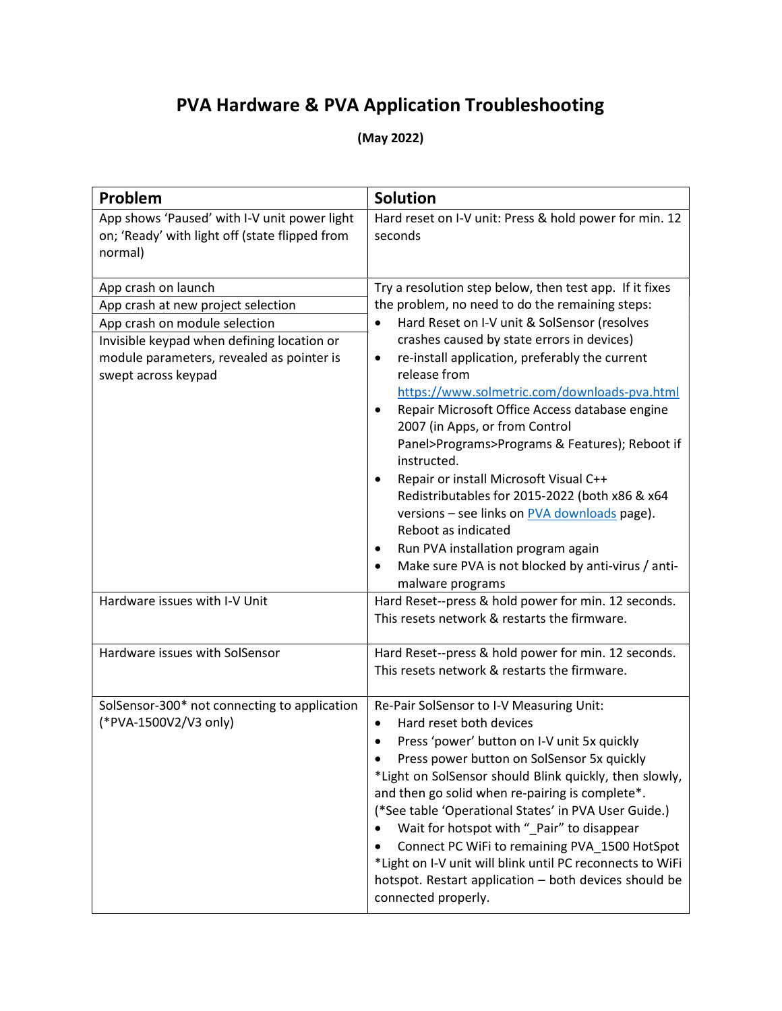## PVA Hardware & PVA Application Troubleshooting

(May 2022)

| Problem                                                                                                   | <b>Solution</b>                                                             |  |  |  |
|-----------------------------------------------------------------------------------------------------------|-----------------------------------------------------------------------------|--|--|--|
| App shows 'Paused' with I-V unit power light<br>on; 'Ready' with light off (state flipped from<br>normal) | Hard reset on I-V unit: Press & hold power for min. 12<br>seconds           |  |  |  |
| App crash on launch                                                                                       | Try a resolution step below, then test app. If it fixes                     |  |  |  |
| App crash at new project selection                                                                        | the problem, no need to do the remaining steps:                             |  |  |  |
| App crash on module selection                                                                             | Hard Reset on I-V unit & SolSensor (resolves<br>$\bullet$                   |  |  |  |
| Invisible keypad when defining location or                                                                | crashes caused by state errors in devices)                                  |  |  |  |
| module parameters, revealed as pointer is<br>swept across keypad                                          | re-install application, preferably the current<br>$\bullet$<br>release from |  |  |  |
|                                                                                                           | https://www.solmetric.com/downloads-pva.html                                |  |  |  |
|                                                                                                           | Repair Microsoft Office Access database engine                              |  |  |  |
|                                                                                                           | 2007 (in Apps, or from Control                                              |  |  |  |
|                                                                                                           | Panel>Programs>Programs & Features); Reboot if<br>instructed.               |  |  |  |
|                                                                                                           | Repair or install Microsoft Visual C++<br>$\bullet$                         |  |  |  |
|                                                                                                           | Redistributables for 2015-2022 (both x86 & x64                              |  |  |  |
|                                                                                                           | versions - see links on PVA downloads page).                                |  |  |  |
|                                                                                                           | Reboot as indicated                                                         |  |  |  |
|                                                                                                           | Run PVA installation program again<br>٠                                     |  |  |  |
|                                                                                                           | Make sure PVA is not blocked by anti-virus / anti-                          |  |  |  |
|                                                                                                           | malware programs                                                            |  |  |  |
| Hardware issues with I-V Unit                                                                             | Hard Reset--press & hold power for min. 12 seconds.                         |  |  |  |
|                                                                                                           | This resets network & restarts the firmware.                                |  |  |  |
| Hardware issues with SolSensor                                                                            | Hard Reset--press & hold power for min. 12 seconds.                         |  |  |  |
|                                                                                                           | This resets network & restarts the firmware.                                |  |  |  |
| SolSensor-300* not connecting to application                                                              | Re-Pair SolSensor to I-V Measuring Unit:                                    |  |  |  |
| (*PVA-1500V2/V3 only)                                                                                     | Hard reset both devices<br>$\bullet$                                        |  |  |  |
|                                                                                                           | Press 'power' button on I-V unit 5x quickly<br>$\bullet$                    |  |  |  |
|                                                                                                           | Press power button on SolSensor 5x quickly                                  |  |  |  |
|                                                                                                           | *Light on SolSensor should Blink quickly, then slowly,                      |  |  |  |
|                                                                                                           | and then go solid when re-pairing is complete*.                             |  |  |  |
|                                                                                                           | (*See table 'Operational States' in PVA User Guide.)                        |  |  |  |
|                                                                                                           | Wait for hotspot with "_Pair" to disappear                                  |  |  |  |
|                                                                                                           | Connect PC WiFi to remaining PVA_1500 HotSpot                               |  |  |  |
|                                                                                                           | *Light on I-V unit will blink until PC reconnects to WiFi                   |  |  |  |
|                                                                                                           | hotspot. Restart application - both devices should be                       |  |  |  |
|                                                                                                           | connected properly.                                                         |  |  |  |